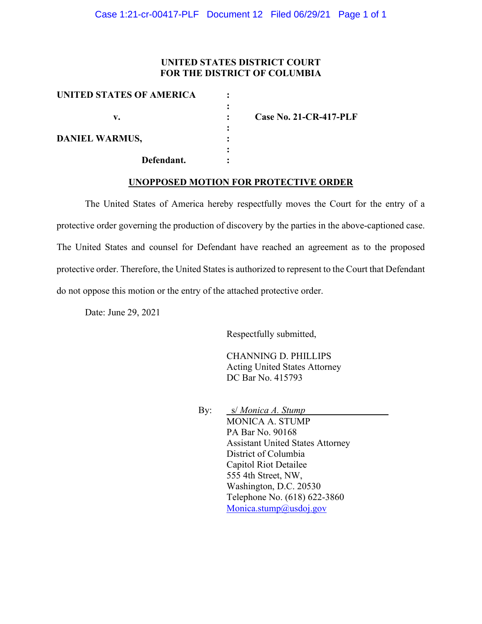### **UNITED STATES DISTRICT COURT FOR THE DISTRICT OF COLUMBIA**

| UNITED STATES OF AMERICA |                               |
|--------------------------|-------------------------------|
|                          |                               |
| v.                       | <b>Case No. 21-CR-417-PLF</b> |
|                          |                               |
| <b>DANIEL WARMUS,</b>    |                               |
|                          |                               |
| Defendant.               |                               |

#### **UNOPPOSED MOTION FOR PROTECTIVE ORDER**

The United States of America hereby respectfully moves the Court for the entry of a protective order governing the production of discovery by the parties in the above-captioned case. The United States and counsel for Defendant have reached an agreement as to the proposed protective order. Therefore, the United States is authorized to represent to the Court that Defendant do not oppose this motion or the entry of the attached protective order.

Date: June 29, 2021

Respectfully submitted,

CHANNING D. PHILLIPS Acting United States Attorney DC Bar No. 415793

By: s/ *Monica A. Stump* MONICA A. STUMP PA Bar No. 90168 Assistant United States Attorney District of Columbia Capitol Riot Detailee 555 4th Street, NW, Washington, D.C. 20530 Telephone No. (618) 622-3860 Monica.stump@usdoj.gov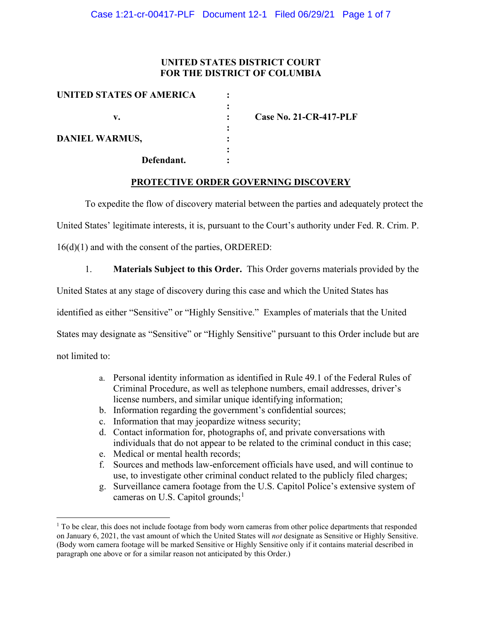## **UNITED STATES DISTRICT COURT FOR THE DISTRICT OF COLUMBIA**

| UNITED STATES OF AMERICA |                               |
|--------------------------|-------------------------------|
|                          |                               |
| v.                       | <b>Case No. 21-CR-417-PLF</b> |
|                          |                               |
| <b>DANIEL WARMUS,</b>    |                               |
|                          |                               |
| Defendant.               |                               |

### **PROTECTIVE ORDER GOVERNING DISCOVERY**

To expedite the flow of discovery material between the parties and adequately protect the

United States' legitimate interests, it is, pursuant to the Court's authority under Fed. R. Crim. P.

16(d)(1) and with the consent of the parties, ORDERED:

1. **Materials Subject to this Order.** This Order governs materials provided by the

United States at any stage of discovery during this case and which the United States has

identified as either "Sensitive" or "Highly Sensitive." Examples of materials that the United

States may designate as "Sensitive" or "Highly Sensitive" pursuant to this Order include but are

not limited to:

- a. Personal identity information as identified in Rule 49.1 of the Federal Rules of Criminal Procedure, as well as telephone numbers, email addresses, driver's license numbers, and similar unique identifying information;
- b. Information regarding the government's confidential sources;
- c. Information that may jeopardize witness security;
- d. Contact information for, photographs of, and private conversations with individuals that do not appear to be related to the criminal conduct in this case;
- e. Medical or mental health records;
- f. Sources and methods law-enforcement officials have used, and will continue to use, to investigate other criminal conduct related to the publicly filed charges;
- g. Surveillance camera footage from the U.S. Capitol Police's extensive system of cameras on U.S. Capitol grounds;<sup>1</sup>

 $<sup>1</sup>$  To be clear, this does not include footage from body worn cameras from other police departments that responded</sup> on January 6, 2021, the vast amount of which the United States will *not* designate as Sensitive or Highly Sensitive. (Body worn camera footage will be marked Sensitive or Highly Sensitive only if it contains material described in paragraph one above or for a similar reason not anticipated by this Order.)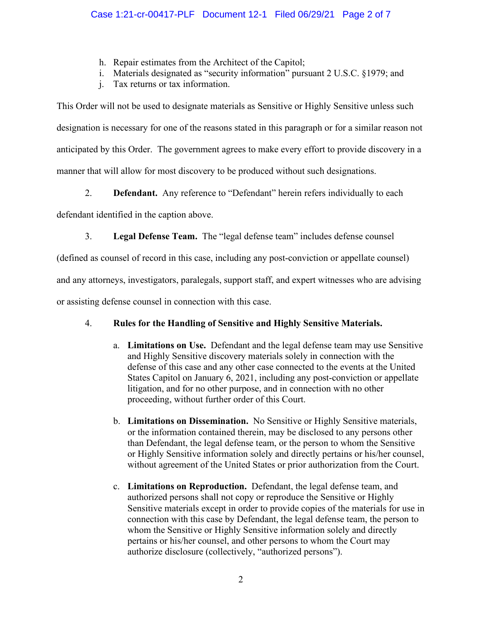- h. Repair estimates from the Architect of the Capitol;
- i. Materials designated as "security information" pursuant 2 U.S.C. §1979; and
- j. Tax returns or tax information.

This Order will not be used to designate materials as Sensitive or Highly Sensitive unless such designation is necessary for one of the reasons stated in this paragraph or for a similar reason not anticipated by this Order. The government agrees to make every effort to provide discovery in a manner that will allow for most discovery to be produced without such designations.

2. **Defendant.** Any reference to "Defendant" herein refers individually to each

defendant identified in the caption above.

3. **Legal Defense Team.** The "legal defense team" includes defense counsel

(defined as counsel of record in this case, including any post-conviction or appellate counsel)

and any attorneys, investigators, paralegals, support staff, and expert witnesses who are advising

or assisting defense counsel in connection with this case.

# 4. **Rules for the Handling of Sensitive and Highly Sensitive Materials.**

- a. **Limitations on Use.** Defendant and the legal defense team may use Sensitive and Highly Sensitive discovery materials solely in connection with the defense of this case and any other case connected to the events at the United States Capitol on January 6, 2021, including any post-conviction or appellate litigation, and for no other purpose, and in connection with no other proceeding, without further order of this Court.
- b. **Limitations on Dissemination.** No Sensitive or Highly Sensitive materials, or the information contained therein, may be disclosed to any persons other than Defendant, the legal defense team, or the person to whom the Sensitive or Highly Sensitive information solely and directly pertains or his/her counsel, without agreement of the United States or prior authorization from the Court.
- c. **Limitations on Reproduction.** Defendant, the legal defense team, and authorized persons shall not copy or reproduce the Sensitive or Highly Sensitive materials except in order to provide copies of the materials for use in connection with this case by Defendant, the legal defense team, the person to whom the Sensitive or Highly Sensitive information solely and directly pertains or his/her counsel, and other persons to whom the Court may authorize disclosure (collectively, "authorized persons").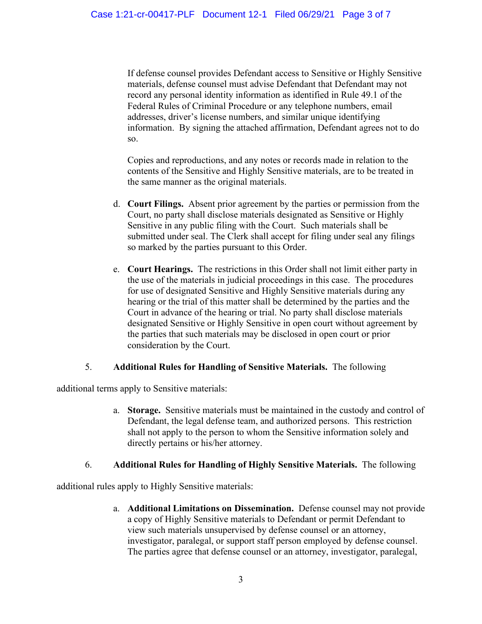If defense counsel provides Defendant access to Sensitive or Highly Sensitive materials, defense counsel must advise Defendant that Defendant may not record any personal identity information as identified in Rule 49.1 of the Federal Rules of Criminal Procedure or any telephone numbers, email addresses, driver's license numbers, and similar unique identifying information. By signing the attached affirmation, Defendant agrees not to do so.

Copies and reproductions, and any notes or records made in relation to the contents of the Sensitive and Highly Sensitive materials, are to be treated in the same manner as the original materials.

- d. **Court Filings.** Absent prior agreement by the parties or permission from the Court, no party shall disclose materials designated as Sensitive or Highly Sensitive in any public filing with the Court. Such materials shall be submitted under seal. The Clerk shall accept for filing under seal any filings so marked by the parties pursuant to this Order.
- e. **Court Hearings.** The restrictions in this Order shall not limit either party in the use of the materials in judicial proceedings in this case. The procedures for use of designated Sensitive and Highly Sensitive materials during any hearing or the trial of this matter shall be determined by the parties and the Court in advance of the hearing or trial. No party shall disclose materials designated Sensitive or Highly Sensitive in open court without agreement by the parties that such materials may be disclosed in open court or prior consideration by the Court.

## 5. **Additional Rules for Handling of Sensitive Materials.** The following

additional terms apply to Sensitive materials:

a. **Storage.** Sensitive materials must be maintained in the custody and control of Defendant, the legal defense team, and authorized persons. This restriction shall not apply to the person to whom the Sensitive information solely and directly pertains or his/her attorney.

## 6. **Additional Rules for Handling of Highly Sensitive Materials.** The following

additional rules apply to Highly Sensitive materials:

a. **Additional Limitations on Dissemination.** Defense counsel may not provide a copy of Highly Sensitive materials to Defendant or permit Defendant to view such materials unsupervised by defense counsel or an attorney, investigator, paralegal, or support staff person employed by defense counsel. The parties agree that defense counsel or an attorney, investigator, paralegal,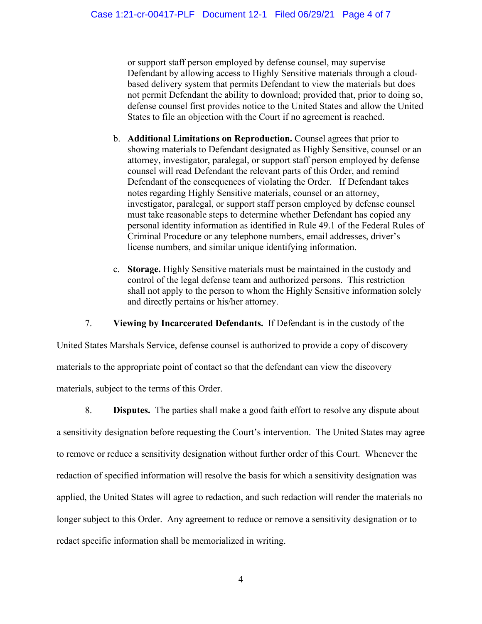or support staff person employed by defense counsel, may supervise Defendant by allowing access to Highly Sensitive materials through a cloudbased delivery system that permits Defendant to view the materials but does not permit Defendant the ability to download; provided that, prior to doing so, defense counsel first provides notice to the United States and allow the United States to file an objection with the Court if no agreement is reached.

- b. **Additional Limitations on Reproduction.** Counsel agrees that prior to showing materials to Defendant designated as Highly Sensitive, counsel or an attorney, investigator, paralegal, or support staff person employed by defense counsel will read Defendant the relevant parts of this Order, and remind Defendant of the consequences of violating the Order. If Defendant takes notes regarding Highly Sensitive materials, counsel or an attorney, investigator, paralegal, or support staff person employed by defense counsel must take reasonable steps to determine whether Defendant has copied any personal identity information as identified in Rule 49.1 of the Federal Rules of Criminal Procedure or any telephone numbers, email addresses, driver's license numbers, and similar unique identifying information.
- c. **Storage.** Highly Sensitive materials must be maintained in the custody and control of the legal defense team and authorized persons. This restriction shall not apply to the person to whom the Highly Sensitive information solely and directly pertains or his/her attorney.

7. **Viewing by Incarcerated Defendants.** If Defendant is in the custody of the

United States Marshals Service, defense counsel is authorized to provide a copy of discovery materials to the appropriate point of contact so that the defendant can view the discovery materials, subject to the terms of this Order.

8. **Disputes.** The parties shall make a good faith effort to resolve any dispute about a sensitivity designation before requesting the Court's intervention. The United States may agree to remove or reduce a sensitivity designation without further order of this Court. Whenever the redaction of specified information will resolve the basis for which a sensitivity designation was applied, the United States will agree to redaction, and such redaction will render the materials no longer subject to this Order. Any agreement to reduce or remove a sensitivity designation or to redact specific information shall be memorialized in writing.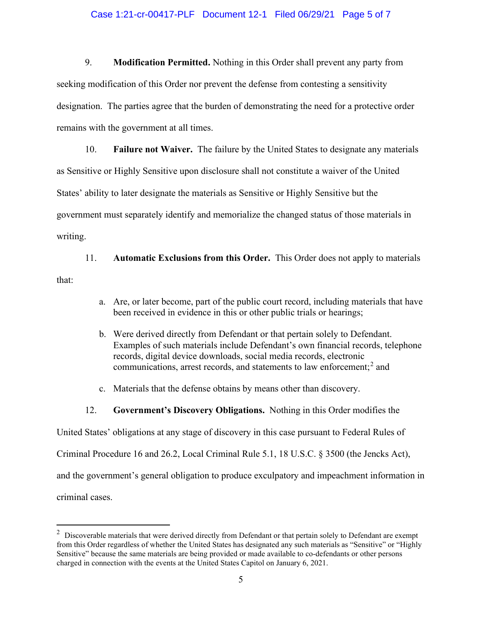#### Case 1:21-cr-00417-PLF Document 12-1 Filed 06/29/21 Page 5 of 7

9. **Modification Permitted.** Nothing in this Order shall prevent any party from seeking modification of this Order nor prevent the defense from contesting a sensitivity designation. The parties agree that the burden of demonstrating the need for a protective order remains with the government at all times.

10. **Failure not Waiver.** The failure by the United States to designate any materials as Sensitive or Highly Sensitive upon disclosure shall not constitute a waiver of the United States' ability to later designate the materials as Sensitive or Highly Sensitive but the government must separately identify and memorialize the changed status of those materials in writing.

11. **Automatic Exclusions from this Order.** This Order does not apply to materials that:

- a. Are, or later become, part of the public court record, including materials that have been received in evidence in this or other public trials or hearings;
- b. Were derived directly from Defendant or that pertain solely to Defendant. Examples of such materials include Defendant's own financial records, telephone records, digital device downloads, social media records, electronic communications, arrest records, and statements to law enforcement; <sup>2</sup> and
- c. Materials that the defense obtains by means other than discovery.
- 12. **Government's Discovery Obligations.** Nothing in this Order modifies the

United States' obligations at any stage of discovery in this case pursuant to Federal Rules of

Criminal Procedure 16 and 26.2, Local Criminal Rule 5.1, 18 U.S.C. § 3500 (the Jencks Act),

and the government's general obligation to produce exculpatory and impeachment information in

criminal cases.

 $2$  Discoverable materials that were derived directly from Defendant or that pertain solely to Defendant are exempt from this Order regardless of whether the United States has designated any such materials as "Sensitive" or "Highly Sensitive" because the same materials are being provided or made available to co-defendants or other persons charged in connection with the events at the United States Capitol on January 6, 2021.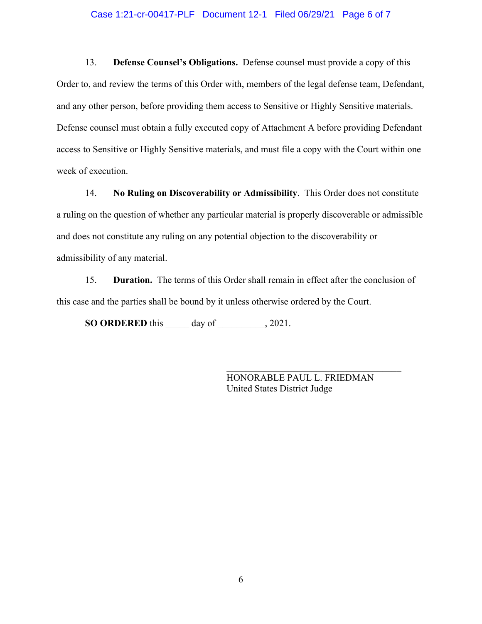#### Case 1:21-cr-00417-PLF Document 12-1 Filed 06/29/21 Page 6 of 7

13. **Defense Counsel's Obligations.** Defense counsel must provide a copy of this Order to, and review the terms of this Order with, members of the legal defense team, Defendant, and any other person, before providing them access to Sensitive or Highly Sensitive materials. Defense counsel must obtain a fully executed copy of Attachment A before providing Defendant access to Sensitive or Highly Sensitive materials, and must file a copy with the Court within one week of execution.

14. **No Ruling on Discoverability or Admissibility**. This Order does not constitute a ruling on the question of whether any particular material is properly discoverable or admissible and does not constitute any ruling on any potential objection to the discoverability or admissibility of any material.

15. **Duration.** The terms of this Order shall remain in effect after the conclusion of this case and the parties shall be bound by it unless otherwise ordered by the Court.

**SO ORDERED** this \_\_\_\_\_ day of \_\_\_\_\_\_\_\_\_\_, 2021.

HONORABLE PAUL L. FRIEDMAN United States District Judge

\_\_\_\_\_\_\_\_\_\_\_\_\_\_\_\_\_\_\_\_\_\_\_\_\_\_\_\_\_\_\_\_\_\_\_\_\_